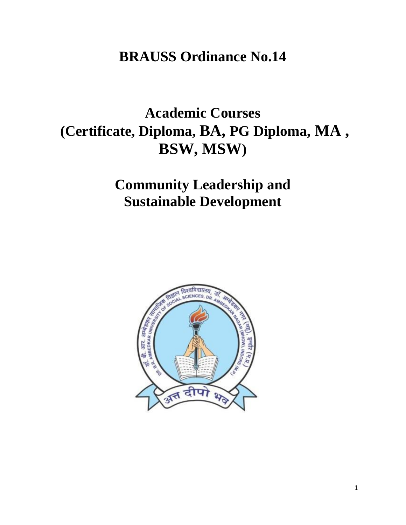## **BRAUSS Ordinance No.14**

# **Academic Courses (Certificate, Diploma, BA, PG Diploma, MA , BSW, MSW)**

## **Community Leadership and Sustainable Development**

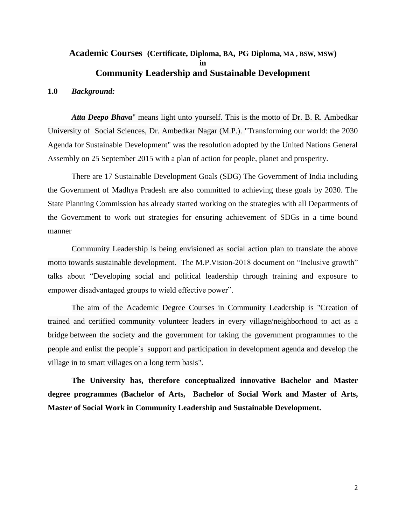## **Academic Courses (Certificate, Diploma, BA, PG Diploma, MA , BSW, MSW) in Community Leadership and Sustainable Development**

#### **1.0** *Background:*

*Atta Deepo Bhava*" means light unto yourself. This is the motto of Dr. B. R. Ambedkar University of Social Sciences, Dr. Ambedkar Nagar (M.P.). "Transforming our world: the 2030 Agenda for Sustainable Development" was the resolution adopted by the United Nations General Assembly on 25 September 2015 with a plan of action for people, planet and prosperity.

There are 17 Sustainable Development Goals (SDG) The Government of India including the Government of Madhya Pradesh are also committed to achieving these goals by 2030. The State Planning Commission has already started working on the strategies with all Departments of the Government to work out strategies for ensuring achievement of SDGs in a time bound manner

Community Leadership is being envisioned as social action plan to translate the above motto towards sustainable development. The M.P.Vision-2018 document on "Inclusive growth" talks about "Developing social and political leadership through training and exposure to empower disadvantaged groups to wield effective power".

The aim of the Academic Degree Courses in Community Leadership is "Creation of trained and certified community volunteer leaders in every village/neighborhood to act as a bridge between the society and the government for taking the government programmes to the people and enlist the people`s support and participation in development agenda and develop the village in to smart villages on a long term basis".

**The University has, therefore conceptualized innovative Bachelor and Master degree programmes (Bachelor of Arts, Bachelor of Social Work and Master of Arts, Master of Social Work in Community Leadership and Sustainable Development.**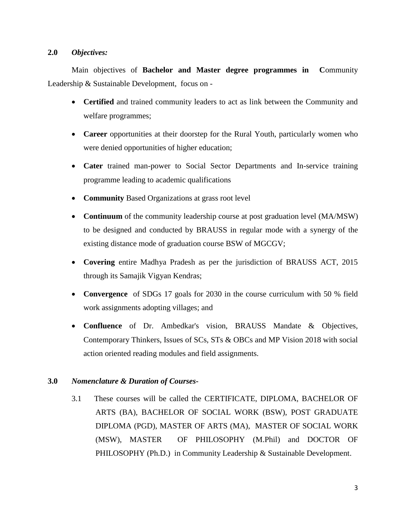#### **2.0** *Objectives:*

Main objectives of **Bachelor and Master degree programmes in C**ommunity Leadership & Sustainable Development, focus on -

- **Certified** and trained community leaders to act as link between the Community and welfare programmes;
- **Career** opportunities at their doorstep for the Rural Youth, particularly women who were denied opportunities of higher education;
- **Cater** trained man-power to Social Sector Departments and In-service training programme leading to academic qualifications
- **Community** Based Organizations at grass root level
- **Continuum** of the community leadership course at post graduation level (MA/MSW) to be designed and conducted by BRAUSS in regular mode with a synergy of the existing distance mode of graduation course BSW of MGCGV;
- **Covering** entire Madhya Pradesh as per the jurisdiction of BRAUSS ACT, 2015 through its Samajik Vigyan Kendras;
- **Convergence** of SDGs 17 goals for 2030 in the course curriculum with 50 % field work assignments adopting villages; and
- **Confluence** of Dr. Ambedkar's vision, BRAUSS Mandate & Objectives, Contemporary Thinkers, Issues of SCs, STs & OBCs and MP Vision 2018 with social action oriented reading modules and field assignments.

### **3.0** *Nomenclature & Duration of Courses***-**

3.1 These courses will be called the CERTIFICATE, DIPLOMA, BACHELOR OF ARTS (BA), BACHELOR OF SOCIAL WORK (BSW), POST GRADUATE DIPLOMA (PGD), MASTER OF ARTS (MA), MASTER OF SOCIAL WORK (MSW), MASTER OF PHILOSOPHY (M.Phil) and DOCTOR OF PHILOSOPHY (Ph.D.) in Community Leadership & Sustainable Development.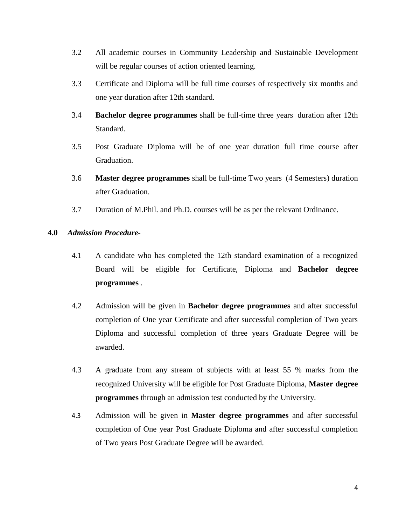- 3.2 All academic courses in Community Leadership and Sustainable Development will be regular courses of action oriented learning.
- 3.3 Certificate and Diploma will be full time courses of respectively six months and one year duration after 12th standard.
- 3.4 **Bachelor degree programmes** shall be full-time three years duration after 12th Standard.
- 3.5 Post Graduate Diploma will be of one year duration full time course after Graduation.
- 3.6 **Master degree programmes** shall be full-time Two years (4 Semesters) duration after Graduation.
- 3.7 Duration of M.Phil. and Ph.D. courses will be as per the relevant Ordinance.

#### **4.0** *Admission Procedure-*

- 4.1 A candidate who has completed the 12th standard examination of a recognized Board will be eligible for Certificate, Diploma and **Bachelor degree programmes** .
- 4.2 Admission will be given in **Bachelor degree programmes** and after successful completion of One year Certificate and after successful completion of Two years Diploma and successful completion of three years Graduate Degree will be awarded.
- 4.3 A graduate from any stream of subjects with at least 55 % marks from the recognized University will be eligible for Post Graduate Diploma, **Master degree programmes** through an admission test conducted by the University.
- 4.3 Admission will be given in **Master degree programmes** and after successful completion of One year Post Graduate Diploma and after successful completion of Two years Post Graduate Degree will be awarded.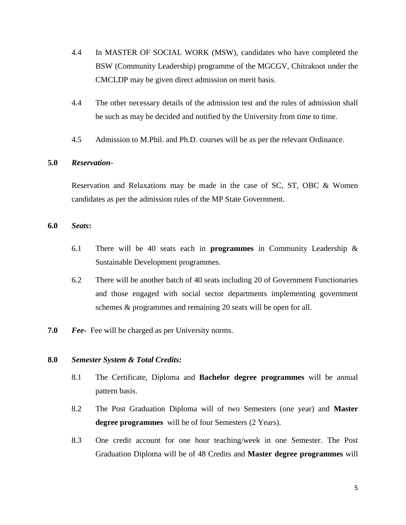- 4.4 In MASTER OF SOCIAL WORK (MSW), candidates who have completed the BSW (Community Leadership) programme of the MGCGV, Chitrakoot under the CMCLDP may be given direct admission on merit basis.
- 4.4 The other necessary details of the admission test and the rules of admission shall be such as may be decided and notified by the University from time to time.
- 4.5 Admission to M.Phil. and Ph.D. courses will be as per the relevant Ordinance.

#### **5.0** *Reservation***-**

Reservation and Relaxations may be made in the case of SC, ST, OBC & Women candidates as per the admission rules of the MP State Government.

#### **6.0** *Seats***:**

- 6.1 There will be 40 seats each in **programmes** in Community Leadership & Sustainable Development programmes.
- 6.2 There will be another batch of 40 seats including 20 of Government Functionaries and those engaged with social sector departments implementing government schemes & programmes and remaining 20 seats will be open for all.
- **7.0** *Fee-* Fee will be charged as per University norms.

#### **8.0** *Semester System & Total Credits:*

- 8.1 The Certificate, Diploma and **Bachelor degree programmes** will be annual pattern basis.
- 8.2 The Post Graduation Diploma will of two Semesters (one year) and **Master degree programmes** will be of four Semesters (2 Years).
- 8.3 One credit account for one hour teaching/week in one Semester. The Post Graduation Diploma will be of 48 Credits and **Master degree programmes** will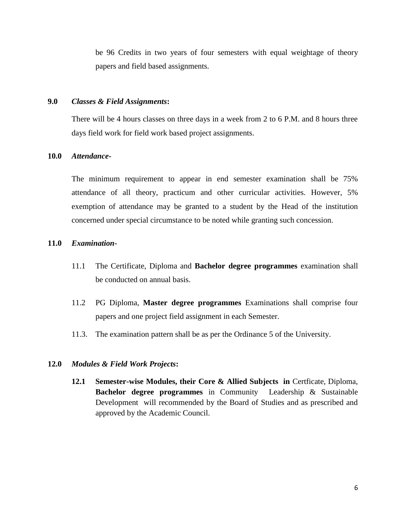be 96 Credits in two years of four semesters with equal weightage of theory papers and field based assignments.

#### **9.0** *Classes & Field Assignments***:**

There will be 4 hours classes on three days in a week from 2 to 6 P.M. and 8 hours three days field work for field work based project assignments.

#### **10.0** *Attendance***-**

The minimum requirement to appear in end semester examination shall be 75% attendance of all theory, practicum and other curricular activities. However, 5% exemption of attendance may be granted to a student by the Head of the institution concerned under special circumstance to be noted while granting such concession.

#### **11.0** *Examination-*

- 11.1 The Certificate, Diploma and **Bachelor degree programmes** examination shall be conducted on annual basis.
- 11.2 PG Diploma, **Master degree programmes** Examinations shall comprise four papers and one project field assignment in each Semester.
- 11.3. The examination pattern shall be as per the Ordinance 5 of the University.

#### **12.0** *Modules & Field Work Projects***:**

**12.1 Semester-wise Modules, their Core & Allied Subjects in Certficate, Diploma, Bachelor degree programmes** in Community Leadership & Sustainable Development will recommended by the Board of Studies and as prescribed and approved by the Academic Council.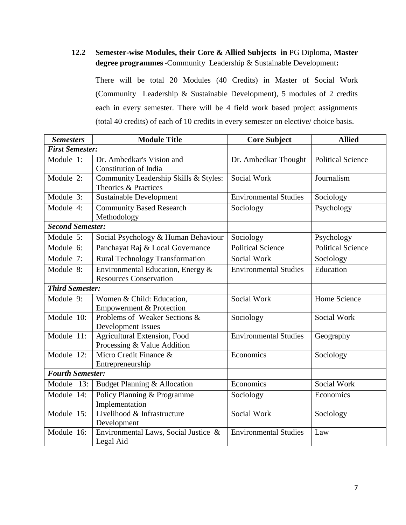## **12.2 Semester-wise Modules, their Core & Allied Subjects in** PG Diploma, **Master degree programmes** -Community Leadership & Sustainable Development**:**

There will be total 20 Modules (40 Credits) in Master of Social Work (Community Leadership & Sustainable Development), 5 modules of 2 credits each in every semester. There will be 4 field work based project assignments (total 40 credits) of each of 10 credits in every semester on elective/ choice basis.

| <b>Semesters</b>        | <b>Module Title</b>                                                | <b>Core Subject</b>          | <b>Allied</b>            |
|-------------------------|--------------------------------------------------------------------|------------------------------|--------------------------|
| <b>First Semester:</b>  |                                                                    |                              |                          |
| Module 1:               | Dr. Ambedkar's Vision and<br><b>Constitution of India</b>          | Dr. Ambedkar Thought         | <b>Political Science</b> |
| Module 2:               | Community Leadership Skills & Styles:<br>Theories & Practices      | Social Work                  | Journalism               |
| Module 3:               | <b>Sustainable Development</b>                                     | <b>Environmental Studies</b> | Sociology                |
| Module 4:               | <b>Community Based Research</b><br>Methodology                     | Sociology                    | Psychology               |
| <b>Second Semester:</b> |                                                                    |                              |                          |
| Module 5:               | Social Psychology & Human Behaviour                                | Sociology                    | Psychology               |
| Module 6:               | Panchayat Raj & Local Governance                                   | <b>Political Science</b>     | <b>Political Science</b> |
| Module 7:               | <b>Rural Technology Transformation</b>                             | Social Work                  | Sociology                |
| Module 8:               | Environmental Education, Energy &<br><b>Resources Conservation</b> | <b>Environmental Studies</b> | Education                |
| <b>Third Semester:</b>  |                                                                    |                              |                          |
| Module 9:               | Women & Child: Education,<br><b>Empowerment &amp; Protection</b>   | <b>Social Work</b>           | Home Science             |
| Module 10:              | Problems of Weaker Sections &<br><b>Development Issues</b>         | Sociology                    | Social Work              |
| Module 11:              | Agricultural Extension, Food<br>Processing & Value Addition        | <b>Environmental Studies</b> | Geography                |
| Module 12:              | Micro Credit Finance &<br>Entrepreneurship                         | Economics                    | Sociology                |
| <b>Fourth Semester:</b> |                                                                    |                              |                          |
| Module 13:              | Budget Planning & Allocation                                       | Economics                    | Social Work              |
| Module 14:              | Policy Planning & Programme<br>Implementation                      | Sociology                    | Economics                |
| Module 15:              | Livelihood & Infrastructure<br>Development                         | Social Work                  | Sociology                |
| Module 16:              | Environmental Laws, Social Justice &<br>Legal Aid                  | <b>Environmental Studies</b> | Law                      |